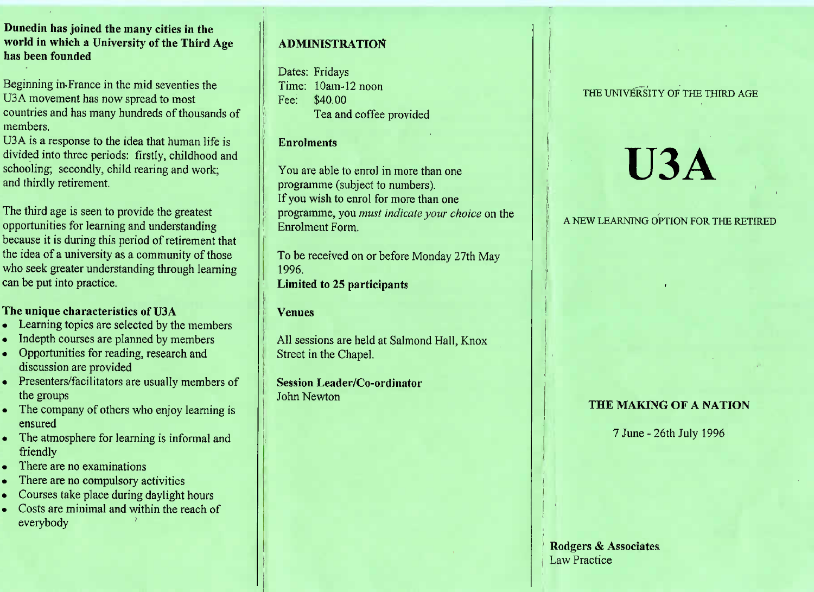**Dunedin has joined the many cities in the world in which a University of the Third Agehas been founded**

Beginning in-France in the mid seventies theU3A movement has now spread to most countries and has many hundreds of thousands ofmembers.

U<sub>3</sub>A is a response to the idea that human life is divided into three periods: firstly, childhood andschooling; secondly, child rearing and work;and thirdly retirement.

The third age is seen to provide the greatest opportunities for learning and understanding because it is during this period of retirement thatthe idea of a university as a community of those who seek greater understanding through learningcan be put into practice.

### **The unique characteristics of** U3A

- Learning topics are selected by the members
- Indepth courses are planned by members
- Opportunities for reading, research anddiscussion are provided
- Presenters/facilitators are usually members of the groups
- The company of others who enjoy learning is ensured
- The atmosphere for learning is informal and friendly
- There are no examinations
- $\epsilon$  There are no compulsory activities
- Courses take place during daylight hours
- Costs are minimal and within the reach ofeverybody

## **ADMINISTRATION**

Dates: Fridays Time: 10am-12 noonFee: \$40.00I ea and coffee provided

#### **Enrolments**

You are able to enrol in more than oneprogramme (subject to numbers). If you wish to enrol for more than one programme, you *must indicate your choice* on theEnrolment Form.

To be received on or before Monday 27th May1996.**Limited to** 25 **participants**

#### **Venues**

All sessions are held at Salmond Hall, KnoxStreet in the Chapel.

**Session Leader/Co-ordinator**John Newton

# THE UNIVERSITY OF THE THIRD AGE

# **U3A**

# A NEW LEARNING OPTION FOR THE RETIRED

# **THE MAKING OF A NATION**

7 June-26th July 1996

Rodgers & AssociatesLaw Practice